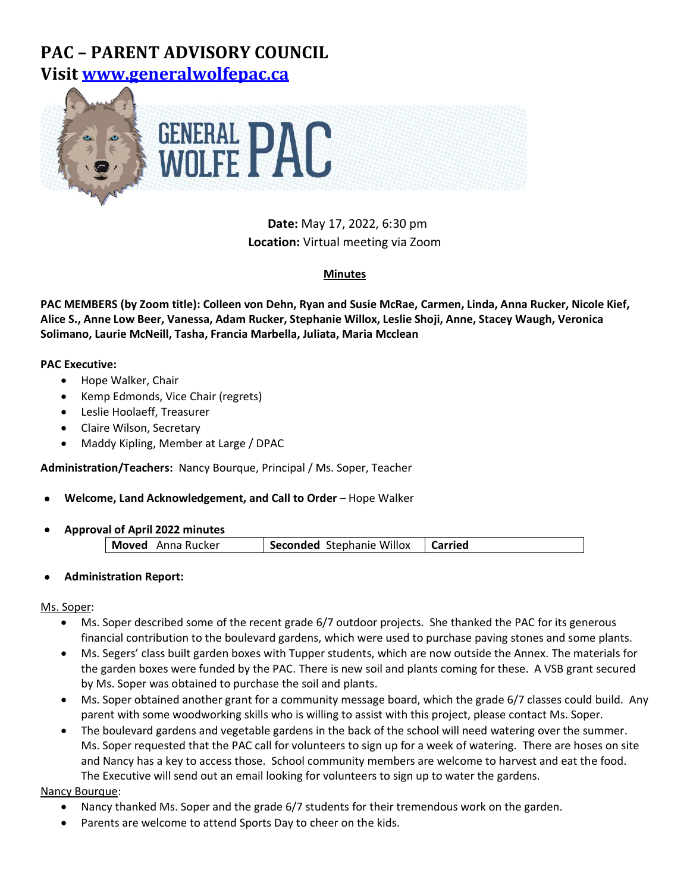# **PAC – PARENT ADVISORY COUNCIL Visit [www.generalwolfepac.ca](http://www.generalwolfepac.ca/)**



**Date:** May 17, 2022, 6:30 pm **Location:** Virtual meeting via Zoom

## **Minutes**

**PAC MEMBERS (by Zoom title): Colleen von Dehn, Ryan and Susie McRae, Carmen, Linda, Anna Rucker, Nicole Kief, Alice S., Anne Low Beer, Vanessa, Adam Rucker, Stephanie Willox, Leslie Shoji, Anne, Stacey Waugh, Veronica Solimano, Laurie McNeill, Tasha, Francia Marbella, Juliata, Maria Mcclean**

## **PAC Executive:**

- Hope Walker, Chair
- Kemp Edmonds, Vice Chair (regrets)
- Leslie Hoolaeff, Treasurer
- Claire Wilson, Secretary
- Maddy Kipling, Member at Large / DPAC

**Administration/Teachers:** Nancy Bourque, Principal / Ms. Soper, Teacher

## • **Welcome, Land Acknowledgement, and Call to Order** – Hope Walker

• **Approval of April 2022 minutes**

| <b>Seconded</b> Stephanie Willox<br>Moved<br>Anna Rucker<br><b>Corried</b> |
|----------------------------------------------------------------------------|
|----------------------------------------------------------------------------|

• **Administration Report:**

## Ms. Soper:

- Ms. Soper described some of the recent grade 6/7 outdoor projects. She thanked the PAC for its generous financial contribution to the boulevard gardens, which were used to purchase paving stones and some plants.
- Ms. Segers' class built garden boxes with Tupper students, which are now outside the Annex. The materials for the garden boxes were funded by the PAC. There is new soil and plants coming for these. A VSB grant secured by Ms. Soper was obtained to purchase the soil and plants.
- Ms. Soper obtained another grant for a community message board, which the grade 6/7 classes could build. Any parent with some woodworking skills who is willing to assist with this project, please contact Ms. Soper.
- The boulevard gardens and vegetable gardens in the back of the school will need watering over the summer. Ms. Soper requested that the PAC call for volunteers to sign up for a week of watering. There are hoses on site and Nancy has a key to access those. School community members are welcome to harvest and eat the food. The Executive will send out an email looking for volunteers to sign up to water the gardens.

Nancy Bourque:

- Nancy thanked Ms. Soper and the grade 6/7 students for their tremendous work on the garden.
- Parents are welcome to attend Sports Day to cheer on the kids.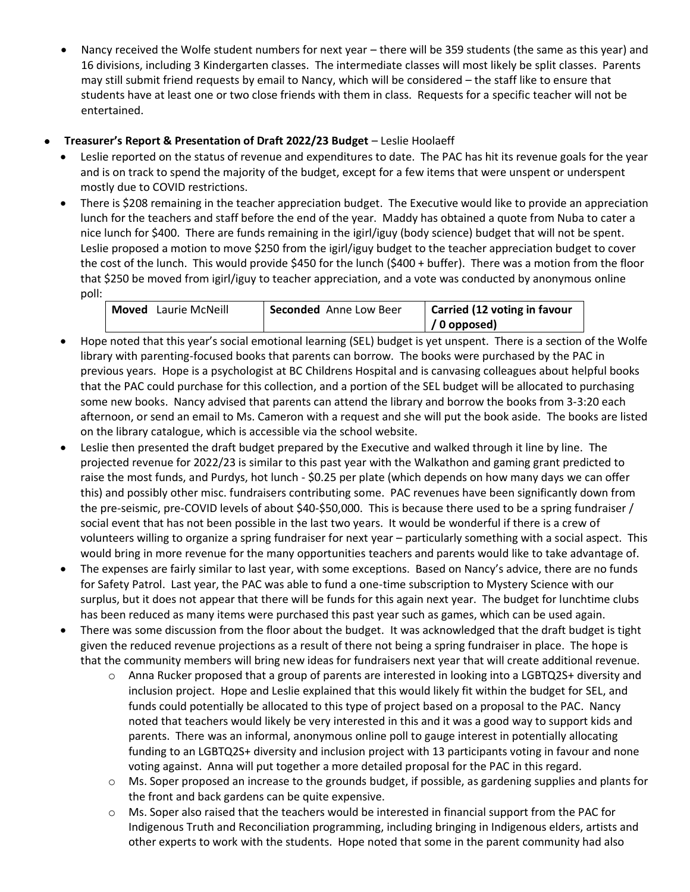- Nancy received the Wolfe student numbers for next year there will be 359 students (the same as this year) and 16 divisions, including 3 Kindergarten classes. The intermediate classes will most likely be split classes. Parents may still submit friend requests by email to Nancy, which will be considered – the staff like to ensure that students have at least one or two close friends with them in class. Requests for a specific teacher will not be entertained.
- **Treasurer's Report & Presentation of Draft 2022/23 Budget**  Leslie Hoolaeff
	- Leslie reported on the status of revenue and expenditures to date. The PAC has hit its revenue goals for the year and is on track to spend the majority of the budget, except for a few items that were unspent or underspent mostly due to COVID restrictions.
	- There is \$208 remaining in the teacher appreciation budget. The Executive would like to provide an appreciation lunch for the teachers and staff before the end of the year. Maddy has obtained a quote from Nuba to cater a nice lunch for \$400. There are funds remaining in the igirl/iguy (body science) budget that will not be spent. Leslie proposed a motion to move \$250 from the igirl/iguy budget to the teacher appreciation budget to cover the cost of the lunch. This would provide \$450 for the lunch (\$400 + buffer). There was a motion from the floor that \$250 be moved from igirl/iguy to teacher appreciation, and a vote was conducted by anonymous online poll:

| Laurie McNeill<br>Moved | <b>Seconded</b> Anne Low Beer | Carried (12 voting in favour |
|-------------------------|-------------------------------|------------------------------|
|                         |                               | $\frac{1}{2}$ (0 opposed)    |

- Hope noted that this year's social emotional learning (SEL) budget is yet unspent. There is a section of the Wolfe library with parenting-focused books that parents can borrow. The books were purchased by the PAC in previous years. Hope is a psychologist at BC Childrens Hospital and is canvasing colleagues about helpful books that the PAC could purchase for this collection, and a portion of the SEL budget will be allocated to purchasing some new books. Nancy advised that parents can attend the library and borrow the books from 3-3:20 each afternoon, or send an email to Ms. Cameron with a request and she will put the book aside. The books are listed on the library catalogue, which is accessible via the school website.
- Leslie then presented the draft budget prepared by the Executive and walked through it line by line. The projected revenue for 2022/23 is similar to this past year with the Walkathon and gaming grant predicted to raise the most funds, and Purdys, hot lunch - \$0.25 per plate (which depends on how many days we can offer this) and possibly other misc. fundraisers contributing some. PAC revenues have been significantly down from the pre-seismic, pre-COVID levels of about \$40-\$50,000. This is because there used to be a spring fundraiser / social event that has not been possible in the last two years. It would be wonderful if there is a crew of volunteers willing to organize a spring fundraiser for next year – particularly something with a social aspect. This would bring in more revenue for the many opportunities teachers and parents would like to take advantage of.
- The expenses are fairly similar to last year, with some exceptions. Based on Nancy's advice, there are no funds for Safety Patrol. Last year, the PAC was able to fund a one-time subscription to Mystery Science with our surplus, but it does not appear that there will be funds for this again next year. The budget for lunchtime clubs has been reduced as many items were purchased this past year such as games, which can be used again.
- There was some discussion from the floor about the budget. It was acknowledged that the draft budget is tight given the reduced revenue projections as a result of there not being a spring fundraiser in place. The hope is that the community members will bring new ideas for fundraisers next year that will create additional revenue.
	- $\circ$  Anna Rucker proposed that a group of parents are interested in looking into a LGBTQ2S+ diversity and inclusion project. Hope and Leslie explained that this would likely fit within the budget for SEL, and funds could potentially be allocated to this type of project based on a proposal to the PAC. Nancy noted that teachers would likely be very interested in this and it was a good way to support kids and parents. There was an informal, anonymous online poll to gauge interest in potentially allocating funding to an LGBTQ2S+ diversity and inclusion project with 13 participants voting in favour and none voting against. Anna will put together a more detailed proposal for the PAC in this regard.
	- $\circ$  Ms. Soper proposed an increase to the grounds budget, if possible, as gardening supplies and plants for the front and back gardens can be quite expensive.
	- $\circ$  Ms. Soper also raised that the teachers would be interested in financial support from the PAC for Indigenous Truth and Reconciliation programming, including bringing in Indigenous elders, artists and other experts to work with the students. Hope noted that some in the parent community had also